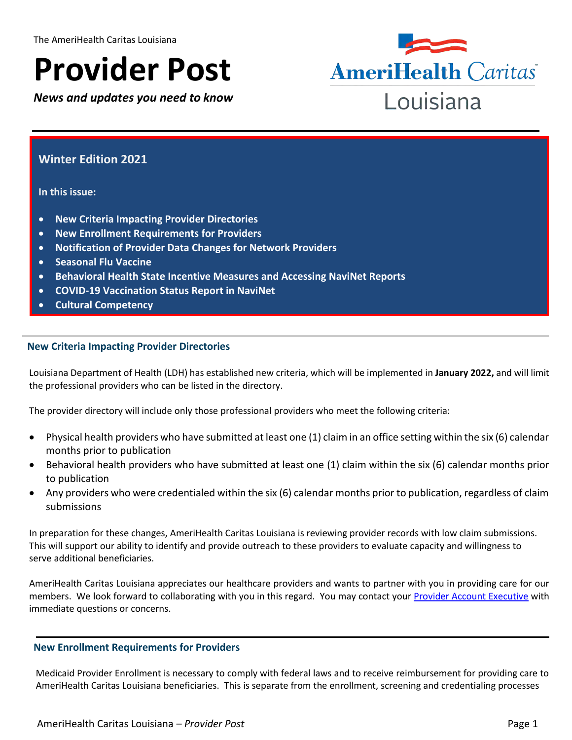# **Provider Post**

*News and updates you need to know*



## **Winter Edition 2021**

**In this issue:**

- **New Criteria Impacting Provider Directories**
- **New Enrollment Requirements for Providers**
- **Notification of Provider Data Changes for Network Providers**
- **•** Seasonal Flu Vaccine
- **Behavioral Health State Incentive Measures and Accessing NaviNet Reports**
- **COVID-19 Vaccination Status Report in NaviNet**
- **Cultural Competency**

#### **New Criteria Impacting Provider Directories**

Louisiana Department of Health (LDH) has established new criteria, which will be implemented in **January 2022,** and will limit the professional providers who can be listed in the directory.

The provider directory will include only those professional providers who meet the following criteria:

- Physical health providers who have submitted at least one (1) claim in an office setting within the six (6) calendar months prior to publication
- Behavioral health providers who have submitted at least one (1) claim within the six (6) calendar months prior to publication
- Any providers who were credentialed within the six (6) calendar months prior to publication, regardless of claim submissions

In preparation for these changes, AmeriHealth Caritas Louisiana is reviewing provider records with low claim submissions. This will support our ability to identify and provide outreach to these providers to evaluate capacity and willingness to serve additional beneficiaries.

AmeriHealth Caritas Louisiana appreciates our healthcare providers and wants to partner with you in providing care for our members. We look forward to collaborating with you in this regard. You may contact your [Provider Account Executive](https://www.amerihealthcaritasla.com/pdf/provider/account-executives.pdf) with immediate questions or concerns.

#### **New Enrollment Requirements for Providers**

Medicaid Provider Enrollment is necessary to comply with federal laws and to receive reimbursement for providing care to AmeriHealth Caritas Louisiana beneficiaries. This is separate from the enrollment, screening and credentialing processes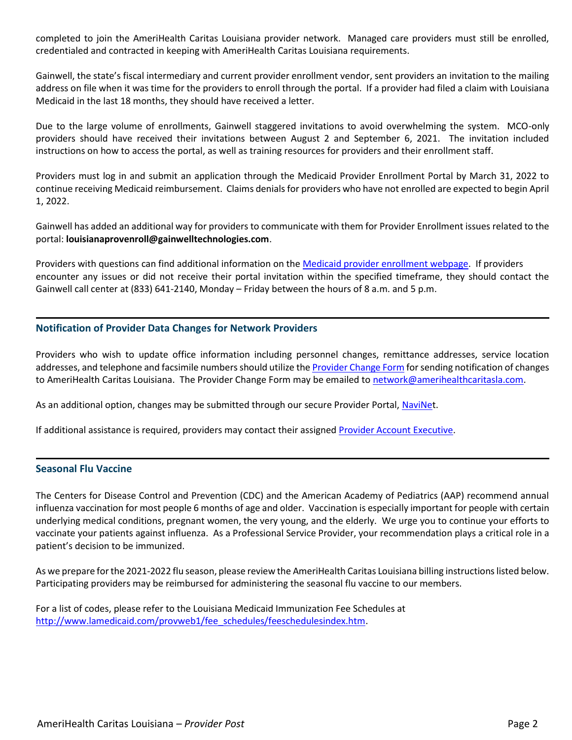completed to join the AmeriHealth Caritas Louisiana provider network. Managed care providers must still be enrolled, credentialed and contracted in keeping with AmeriHealth Caritas Louisiana requirements.

Gainwell, the state's fiscal intermediary and current provider enrollment vendor, sent providers an invitation to the mailing address on file when it was time for the providers to enroll through the portal. If a provider had filed a claim with Louisiana Medicaid in the last 18 months, they should have received a letter.

Due to the large volume of enrollments, Gainwell staggered invitations to avoid overwhelming the system. MCO-only providers should have received their invitations between August 2 and September 6, 2021. The invitation included instructions on how to access the portal, as well as training resources for providers and their enrollment staff.

Providers must log in and submit an application through the Medicaid Provider Enrollment Portal by March 31, 2022 to continue receiving Medicaid reimbursement. Claims denials for providers who have not enrolled are expected to begin April 1, 2022.

Gainwell has added an additional way for providers to communicate with them for Provider Enrollment issues related to the portal: **louisianaprovenroll@gainwelltechnologies.com**.

Providers with questions can find additional information on the [Medicaid provider enrollment webpage.](https://ldh.la.gov/index.cfm/page/4125) If providers encounter any issues or did not receive their portal invitation within the specified timeframe, they should contact the Gainwell call center at (833) 641-2140, Monday – Friday between the hours of 8 a.m. and 5 p.m.

#### **Notification of Provider Data Changes for Network Providers**

Providers who wish to update office information including personnel changes, remittance addresses, service location addresses, and telephone and facsimile numbers should utilize th[e Provider Change Form](https://www.amerihealthcaritasla.com/pdf/provider/resources/forms/provider-change-form.pdf) for sending notification of changes to AmeriHealth Caritas Louisiana. The Provider Change Form may be emailed to [network@amerihealthcaritasla.com.](network@amerihealthcaritasla.com)

As an additional option, changes may be submitted through our secure Provider Portal, [NaviNet](http://www.navinet.net/).

If additional assistance is required, providers may contact their assigne[d Provider Account Executive.](https://www.amerihealthcaritasla.com/pdf/provider/account-executives.pdf)

#### **Seasonal Flu Vaccine**

The Centers for Disease Control and Prevention (CDC) and the American Academy of Pediatrics (AAP) recommend annual influenza vaccination for most people 6 months of age and older. Vaccination is especially important for people with certain underlying medical conditions, pregnant women, the very young, and the elderly. We urge you to continue your efforts to vaccinate your patients against influenza. As a Professional Service Provider, your recommendation plays a critical role in a patient's decision to be immunized.

As we prepare for the 2021-2022 flu season, please review the AmeriHealth Caritas Louisiana billing instructions listed below. Participating providers may be reimbursed for administering the seasonal flu vaccine to our members.

For a list of codes, please refer to the Louisiana Medicaid Immunization Fee Schedules at [http://www.lamedicaid.com/provweb1/fee\\_schedules/feeschedulesindex.htm.](http://www.lamedicaid.com/provweb1/fee_schedules/feeschedulesindex.htm)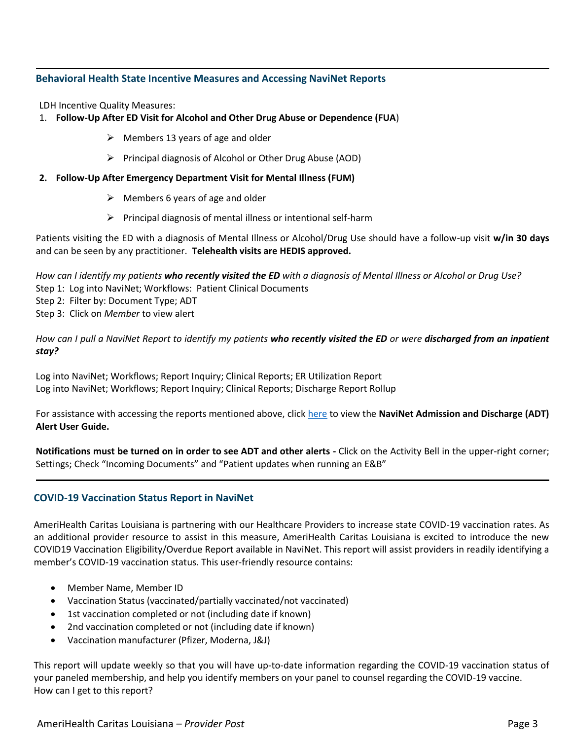#### **Behavioral Health State Incentive Measures and Accessing NaviNet Reports**

LDH Incentive Quality Measures:

#### 1. **Follow-Up After ED Visit for Alcohol and Other Drug Abuse or Dependence (FUA**)

- $\triangleright$  Members 13 years of age and older
- $\triangleright$  Principal diagnosis of Alcohol or Other Drug Abuse (AOD)
- **2. Follow-Up After Emergency Department Visit for Mental Illness (FUM)**
	- $\triangleright$  Members 6 years of age and older
	- $\triangleright$  Principal diagnosis of mental illness or intentional self-harm

Patients visiting the ED with a diagnosis of Mental Illness or Alcohol/Drug Use should have a follow-up visit **w/in 30 days** and can be seen by any practitioner. **Telehealth visits are HEDIS approved.**

*How can I identify my patients who recently visited the ED with a diagnosis of Mental Illness or Alcohol or Drug Use?* Step 1: Log into NaviNet; Workflows: Patient Clinical Documents Step 2: Filter by: Document Type; ADT Step 3: Click on *Member* to view alert

*How can I pull a NaviNet Report to identify my patients who recently visited the ED or were discharged from an inpatient stay?*

Log into NaviNet; Workflows; Report Inquiry; Clinical Reports; ER Utilization Report Log into NaviNet; Workflows; Report Inquiry; Clinical Reports; Discharge Report Rollup

For assistance with accessing the reports mentioned above, clic[k here](https://www.amerihealthcaritasla.com/pdf/provider/resources/navinet/adt-alert-user-guide.pdf) to view the **NaviNet Admission and Discharge (ADT) Alert User Guide.** 

**Notifications must be turned on in order to see ADT and other alerts -** Click on the Activity Bell in the upper-right corner; Settings; Check "Incoming Documents" and "Patient updates when running an E&B"

### **COVID-19 Vaccination Status Report in NaviNet**

AmeriHealth Caritas Louisiana is partnering with our Healthcare Providers to increase state COVID-19 vaccination rates. As an additional provider resource to assist in this measure, AmeriHealth Caritas Louisiana is excited to introduce the new COVID19 Vaccination Eligibility/Overdue Report available in NaviNet. This report will assist providers in readily identifying a member's COVID-19 vaccination status. This user-friendly resource contains:

- Member Name, Member ID
- Vaccination Status (vaccinated/partially vaccinated/not vaccinated)
- 1st vaccination completed or not (including date if known)
- 2nd vaccination completed or not (including date if known)
- Vaccination manufacturer (Pfizer, Moderna, J&J)

This report will update weekly so that you will have up-to-date information regarding the COVID-19 vaccination status of your paneled membership, and help you identify members on your panel to counsel regarding the COVID-19 vaccine. How can I get to this report?